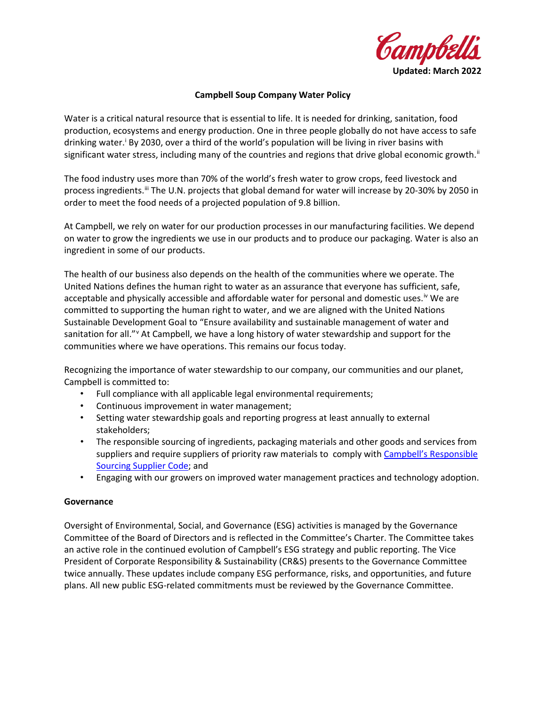

### **Campbell Soup Company Water Policy**

Water is a critical natural resource that is essential to life. It is needed for drinking, sanitation, food production, ecosystems and energy production. One in three people globally do not have access to safe dr[i](#page-2-0)nking water.<sup>i</sup> By 2030, over a third of the world's population will be living in river basins with significant water stress, including many of the countries and regions that drive global economic growth.<sup>[ii](#page-2-1)</sup>

The food industry uses more than 70% of the world's fresh water to grow crops, feed livestock and process ingredients.<sup>[iii](#page-2-2)</sup> The U.N. projects that global demand for water will increase by 20-30% by 2050 in order to meet the food needs of a projected population of 9.8 billion.

At Campbell, we rely on water for our production processes in our manufacturing facilities. We depend on water to grow the ingredients we use in our products and to produce our packaging. Water is also an ingredient in some of our products.

The health of our business also depends on the health of the communities where we operate. The United Nations defines the human right to water as an assurance that everyone has sufficient, safe, acceptable and physically accessible and affordable water for personal and domestic uses.<sup>[iv](#page-2-3)</sup> We are committed to supporting the human right to water, and we are aligned with the United Nations Sustainable Development Goal to "Ensure availability and sustainable management of water and sanitation for all." At Campbell, we ha[v](#page-2-4)e a long history of water stewardship and support for the communities where we have operations. This remains our focus today.

Recognizing the importance of water stewardship to our company, our communities and our planet, Campbell is committed to:

- Full compliance with all applicable legal environmental requirements;
- Continuous improvement in water management;
- Setting water stewardship goals and reporting progress at least annually to external stakeholders;
- The responsible sourcing of ingredients, packaging materials and other goods and services from suppliers and require suppliers of priority raw materials to comply with Campbell's Responsible [Sourcing Supplier Code;](https://www.campbellsoupcompany.com/wp-content/uploads/sites/31/2018/02/Responsible-Sourcing-Supplier-Code-Updated-January-2018-.pdf) and
- Engaging with our growers on improved water management practices and technology adoption.

#### **Governance**

Oversight of Environmental, Social, and Governance (ESG) activities is managed by the Governance Committee of the Board of Directors and is reflected in the Committee's Charter. The Committee takes an active role in the continued evolution of Campbell's ESG strategy and public reporting. The Vice President of Corporate Responsibility & Sustainability (CR&S) presents to the Governance Committee twice annually. These updates include company ESG performance, risks, and opportunities, and future plans. All new public ESG-related commitments must be reviewed by the Governance Committee.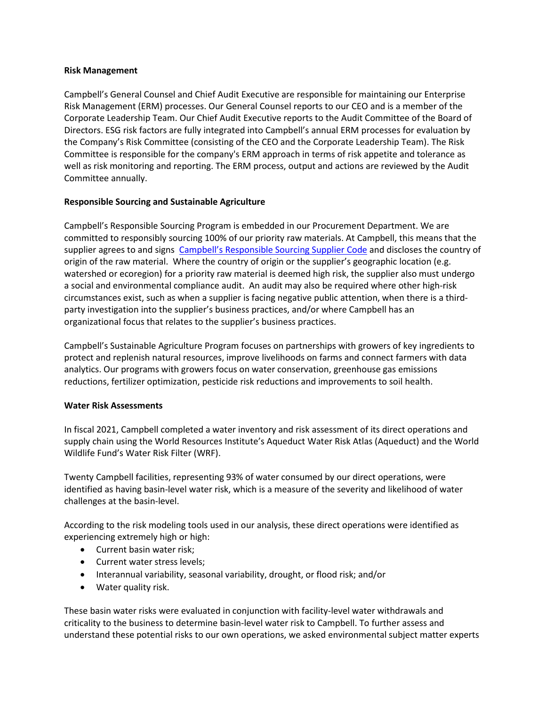### **Risk Management**

Campbell's General Counsel and Chief Audit Executive are responsible for maintaining our Enterprise Risk Management (ERM) processes. Our General Counsel reports to our CEO and is a member of the Corporate Leadership Team. Our Chief Audit Executive reports to the Audit Committee of the Board of Directors. ESG risk factors are fully integrated into Campbell's annual ERM processes for evaluation by the Company's Risk Committee (consisting of the CEO and the Corporate Leadership Team). The Risk Committee is responsible for the company's ERM approach in terms of risk appetite and tolerance as well as risk monitoring and reporting. The ERM process, output and actions are reviewed by the Audit Committee annually.

# **Responsible Sourcing and Sustainable Agriculture**

Campbell's Responsible Sourcing Program is embedded in our Procurement Department. We are committed to responsibly sourcing 100% of our priority raw materials. At Campbell, this means that the supplier agrees to and signs [Campbell's Responsible Sourcing Supplier Code](https://www.campbellsoupcompany.com/wp-content/uploads/2022/02/responsible-sourcing-supplier-code.pdf) and discloses the country of origin of the raw material. Where the country of origin or the supplier's geographic location (e.g. watershed or ecoregion) for a priority raw material is deemed high risk, the supplier also must undergo a social and environmental compliance audit. An audit may also be required where other high-risk circumstances exist, such as when a supplier is facing negative public attention, when there is a thirdparty investigation into the supplier's business practices, and/or where Campbell has an organizational focus that relates to the supplier's business practices.

Campbell's Sustainable Agriculture Program focuses on partnerships with growers of key ingredients to protect and replenish natural resources, improve livelihoods on farms and connect farmers with data analytics. Our programs with growers focus on water conservation, greenhouse gas emissions reductions, fertilizer optimization, pesticide risk reductions and improvements to soil health.

#### **Water Risk Assessments**

In fiscal 2021, Campbell completed a water inventory and risk assessment of its direct operations and supply chain using the World Resources Institute's Aqueduct Water Risk Atlas (Aqueduct) and the World Wildlife Fund's Water Risk Filter (WRF).

Twenty Campbell facilities, representing 93% of water consumed by our direct operations, were identified as having basin-level water risk, which is a measure of the severity and likelihood of water challenges at the basin-level.

According to the risk modeling tools used in our analysis, these direct operations were identified as experiencing extremely high or high:

- Current basin water risk;
- Current water stress levels;
- Interannual variability, seasonal variability, drought, or flood risk; and/or
- Water quality risk.

These basin water risks were evaluated in conjunction with facility-level water withdrawals and criticality to the business to determine basin-level water risk to Campbell. To further assess and understand these potential risks to our own operations, we asked environmental subject matter experts